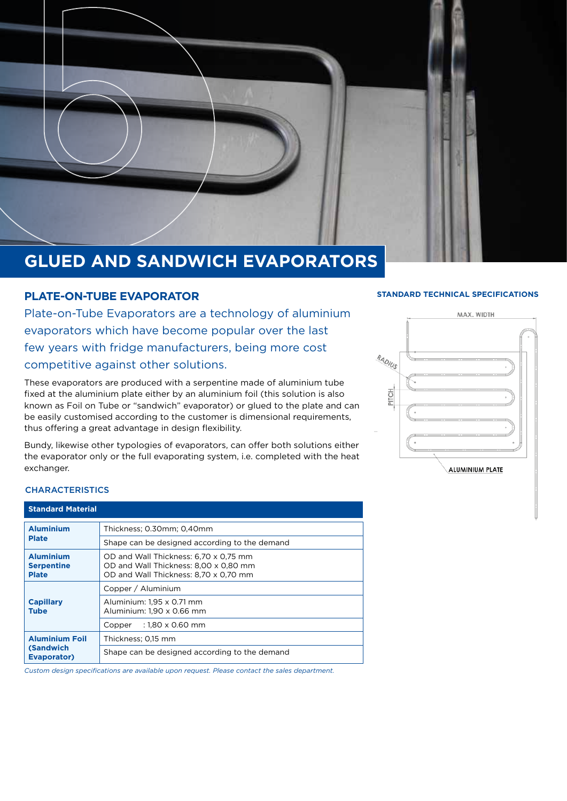

## **GLUED AND SANDWICH EVAPORATORS**

#### **PLATE-ON-TUBE EVAPORATOR**

Plate-on-Tube Evaporators are a technology of aluminium evaporators which have become popular over the last few years with fridge manufacturers, being more cost competitive against other solutions.

These evaporators are produced with a serpentine made of aluminium tube fixed at the aluminium plate either by an aluminium foil (this solution is also known as Foil on Tube or "sandwich" evaporator) or glued to the plate and can be easily customised according to the customer is dimensional requirements, thus offering a great advantage in design flexibility.

Bundy, likewise other typologies of evaporators, can offer both solutions either the evaporator only or the full evaporating system, i.e. completed with the heat exchanger.

### **STANDARD TECHNICAL SPECIFICATIONS**



#### **CHARACTERISTICS**

| <b>Standard Material</b>                                        |                                                                                                                         |  |  |
|-----------------------------------------------------------------|-------------------------------------------------------------------------------------------------------------------------|--|--|
| <b>Aluminium</b><br><b>Plate</b>                                | Thickness; 0.30mm; 0.40mm                                                                                               |  |  |
|                                                                 | Shape can be designed according to the demand                                                                           |  |  |
| <b>Aluminium</b><br><b>Serpentine</b><br><b>Plate</b>           | OD and Wall Thickness: 6,70 x 0,75 mm<br>OD and Wall Thickness: 8,00 x 0,80 mm<br>OD and Wall Thickness: 8,70 x 0,70 mm |  |  |
| <b>Capillary</b><br><b>Tube</b>                                 | Copper / Aluminium                                                                                                      |  |  |
|                                                                 | Aluminium: 1,95 x 0.71 mm<br>Aluminium: 1,90 x 0.66 mm                                                                  |  |  |
|                                                                 | $: 1,80 \times 0.60$ mm<br>Copper                                                                                       |  |  |
| <b>Aluminium Foil</b><br><b>(Sandwich</b><br><b>Evaporator)</b> | Thickness; 0,15 mm                                                                                                      |  |  |
|                                                                 | Shape can be designed according to the demand                                                                           |  |  |

*Custom design specifications are available upon request. Please contact the sales department.*